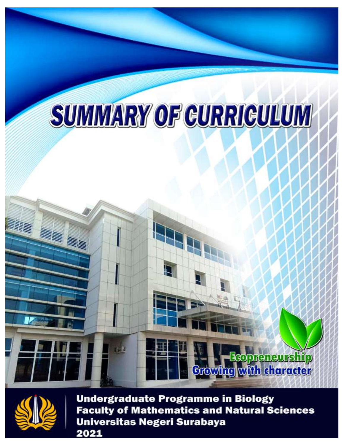# **SUMMARY OF GURRIGULUM**



allilli<br>Hillilli

**Undergraduate Programme in Biology** Faculty of Mathematics and Natural Sciences<br>Universitas Negeri Surabaya

**Requeneurship** 

**Crowing** with character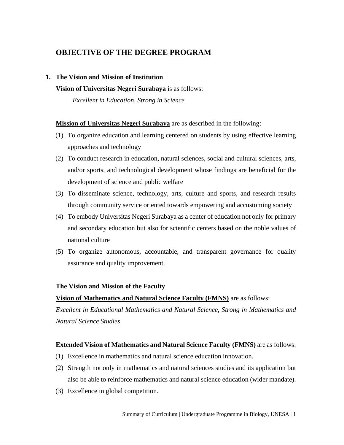# **OBJECTIVE OF THE DEGREE PROGRAM**

# **1. The Vision and Mission of Institution**

# **Vision of Universitas Negeri Surabaya** is as follows:

*Excellent in Education, Strong in Science*

# **Mission of Universitas Negeri Surabaya** are as described in the following:

- (1) To organize education and learning centered on students by using effective learning approaches and technology
- (2) To conduct research in education, natural sciences, social and cultural sciences, arts, and/or sports, and technological development whose findings are beneficial for the development of science and public welfare
- (3) To disseminate science, technology, arts, culture and sports, and research results through community service oriented towards empowering and accustoming society
- (4) To embody Universitas Negeri Surabaya as a center of education not only for primary and secondary education but also for scientific centers based on the noble values of national culture
- (5) To organize autonomous, accountable, and transparent governance for quality assurance and quality improvement.

# **The Vision and Mission of the Faculty**

# **Vision of Mathematics and Natural Science Faculty (FMNS)** are as follows:

*Excellent in Educational Mathematics and Natural Science, Strong in Mathematics and Natural Science Studies*

# **Extended Vision of Mathematics and Natural Science Faculty (FMNS)** are as follows:

- (1) Excellence in mathematics and natural science education innovation.
- (2) Strength not only in mathematics and natural sciences studies and its application but also be able to reinforce mathematics and natural science education (wider mandate).
- (3) Excellence in global competition.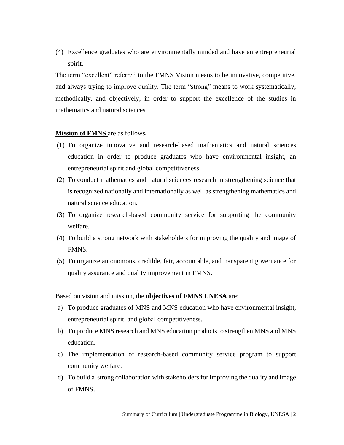(4) Excellence graduates who are environmentally minded and have an entrepreneurial spirit.

The term "excellent" referred to the FMNS Vision means to be innovative, competitive, and always trying to improve quality. The term "strong" means to work systematically, methodically, and objectively, in order to support the excellence of the studies in mathematics and natural sciences.

#### **Mission of FMNS** are as follows**.**

- (1) To organize innovative and research-based mathematics and natural sciences education in order to produce graduates who have environmental insight, an entrepreneurial spirit and global competitiveness.
- (2) To conduct mathematics and natural sciences research in strengthening science that is recognized nationally and internationally as well as strengthening mathematics and natural science education.
- (3) To organize research-based community service for supporting the community welfare.
- (4) To build a strong network with stakeholders for improving the quality and image of FMNS.
- (5) To organize autonomous, credible, fair, accountable, and transparent governance for quality assurance and quality improvement in FMNS.

Based on vision and mission, the **objectives of FMNS UNESA** are:

- a) To produce graduates of MNS and MNS education who have environmental insight, entrepreneurial spirit, and global competitiveness.
- b) To produce MNS research and MNS education products to strengthen MNS and MNS education.
- c) The implementation of research-based community service program to support community welfare.
- d) To build a strong collaboration with stakeholders for improving the quality and image of FMNS.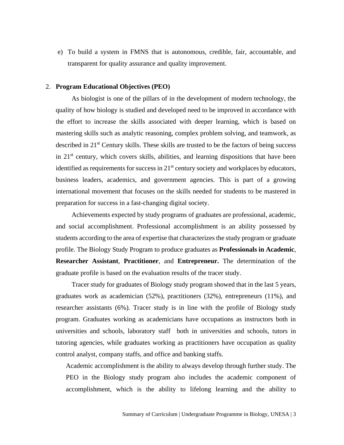e) To build a system in FMNS that is autonomous, credible, fair, accountable, and transparent for quality assurance and quality improvement.

#### 2. **Program Educational Objectives (PEO)**

As biologist is one of the pillars of in the development of modern technology, the quality of how biology is studied and developed need to be improved in accordance with the effort to increase the skills associated with deeper learning, which is based on mastering skills such as analytic reasoning, complex problem solving, and teamwork, as described in 21<sup>st</sup> Century skills. These skills are trusted to be the factors of being success in  $21<sup>st</sup>$  century, which covers skills, abilities, and learning dispositions that have been identified as requirements for success in  $21<sup>st</sup>$  century society and workplaces by educators, business leaders, academics, and government agencies. This is part of a growing international movement that focuses on the skills needed for students to be mastered in preparation for success in a fast-changing digital society.

Achievements expected by study programs of graduates are professional, academic, and social accomplishment. Professional accomplishment is an ability possessed by students according to the area of expertise that characterizes the study program or graduate profile. The Biology Study Program to produce graduates as **Professionals in Academic**, **Researcher Assistant**, **Practitioner**, and **Entrepreneur.** The determination of the graduate profile is based on the evaluation results of the tracer study.

Tracer study for graduates of Biology study program showed that in the last 5 years, graduates work as academician (52%), practitioners (32%), entrepreneurs (11%), and researcher assistants (6%). Tracer study is in line with the profile of Biology study program. Graduates working as academicians have occupations as instructors both in universities and schools, laboratory staff both in universities and schools, tutors in tutoring agencies, while graduates working as practitioners have occupation as quality control analyst, company staffs, and office and banking staffs.

Academic accomplishment is the ability to always develop through further study. The PEO in the Biology study program also includes the academic component of accomplishment, which is the ability to lifelong learning and the ability to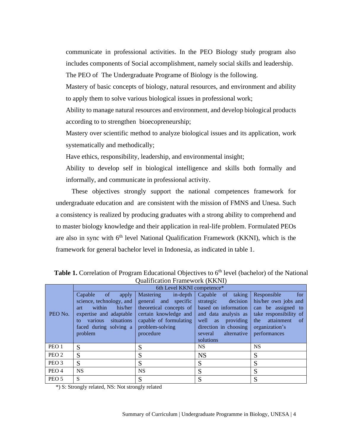communicate in professional activities. In the PEO Biology study program also includes components of Social accomplishment, namely social skills and leadership.

The PEO of The Undergraduate Programe of Biology is the following.

Mastery of basic concepts of biology, natural resources, and environment and ability to apply them to solve various biological issues in professional work;

Ability to manage natural resources and environment, and develop biological products according to to strengthen bioecopreneurship;

Mastery over scientific method to analyze biological issues and its application, work systematically and methodically;

Have ethics, responsibility, leadership, and environmental insight;

Ability to develop self in biological intelligence and skills both formally and informally, and communicate in professional activity.

These objectives strongly support the national competences framework for undergraduate education and are consistent with the mission of FMNS and Unesa. Such a consistency is realized by producing graduates with a strong ability to comprehend and to master biology knowledge and their application in real-life problem. Formulated PEOs are also in sync with  $6<sup>th</sup>$  level National Qualification Framework (KKNI), which is the framework for general bachelor level in Indonesia, as indicated in table 1.

|                  |                                                                                                                                                                                          | 6th Level KKNI competence*                                                                                                                                     |                                                                                                                                                                                          |                                                                                                                                                                    |
|------------------|------------------------------------------------------------------------------------------------------------------------------------------------------------------------------------------|----------------------------------------------------------------------------------------------------------------------------------------------------------------|------------------------------------------------------------------------------------------------------------------------------------------------------------------------------------------|--------------------------------------------------------------------------------------------------------------------------------------------------------------------|
| PEO No.          | Capable<br><sub>of</sub><br>apply<br>science, technology, and<br>his/her<br>within<br>art<br>expertise and adaptable<br>situations<br>various<br>to<br>faced during solving a<br>problem | $in$ -depth<br>Mastering<br>general and specific<br>theoretical concepts of<br>certain knowledge and<br>capable of formulating<br>problem-solving<br>procedure | Capable of<br>taking<br>decision<br>strategic<br>based on information<br>and data analysis as<br>well<br>providing<br>as<br>direction in choosing<br>alternative<br>several<br>solutions | for<br>Responsible<br>his/her own jobs and<br>can be assigned to<br>take responsibility of<br>attainment<br>the<br><sub>of</sub><br>organization's<br>performances |
| PEO <sub>1</sub> | S                                                                                                                                                                                        | S                                                                                                                                                              | <b>NS</b>                                                                                                                                                                                | <b>NS</b>                                                                                                                                                          |
| PEO <sub>2</sub> | S                                                                                                                                                                                        | S                                                                                                                                                              | <b>NS</b>                                                                                                                                                                                | S                                                                                                                                                                  |
| PEO <sub>3</sub> | S                                                                                                                                                                                        | S                                                                                                                                                              | S                                                                                                                                                                                        | S                                                                                                                                                                  |
| PEO <sub>4</sub> | <b>NS</b>                                                                                                                                                                                | <b>NS</b>                                                                                                                                                      | S                                                                                                                                                                                        | S                                                                                                                                                                  |
| PEO <sub>5</sub> | S                                                                                                                                                                                        | S                                                                                                                                                              | S                                                                                                                                                                                        | S                                                                                                                                                                  |

Table 1. Correlation of Program Educational Objectives to 6<sup>th</sup> level (bachelor) of the National Qualification Framework (KKNI)

\*) S: Strongly related, NS: Not strongly related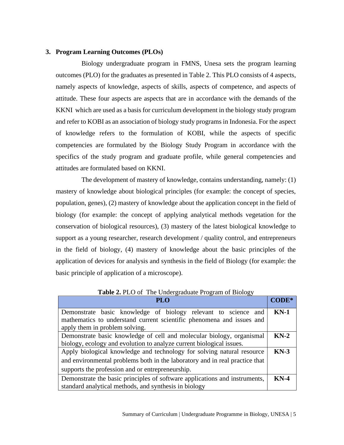#### **3. Program Learning Outcomes (PLOs)**

Biology undergraduate program in FMNS, Unesa sets the program learning outcomes (PLO) for the graduates as presented in Table 2. This PLO consists of 4 aspects, namely aspects of knowledge, aspects of skills, aspects of competence, and aspects of attitude. These four aspects are aspects that are in accordance with the demands of the KKNI which are used as a basis for curriculum development in the biology study program and refer to KOBI as an association of biology study programs in Indonesia. For the aspect of knowledge refers to the formulation of KOBI, while the aspects of specific competencies are formulated by the Biology Study Program in accordance with the specifics of the study program and graduate profile, while general competencies and attitudes are formulated based on KKNI.

The development of mastery of knowledge, contains understanding, namely: (1) mastery of knowledge about biological principles (for example: the concept of species, population, genes), (2) mastery of knowledge about the application concept in the field of biology (for example: the concept of applying analytical methods vegetation for the conservation of biological resources), (3) mastery of the latest biological knowledge to support as a young researcher, research development / quality control, and entrepreneurs in the field of biology, (4) mastery of knowledge about the basic principles of the application of devices for analysis and synthesis in the field of Biology (for example: the basic principle of application of a microscope).

| PL O                                                                        |        |
|-----------------------------------------------------------------------------|--------|
| Demonstrate basic knowledge of biology relevant to science and              | $KN-1$ |
| mathematics to understand current scientific phenomena and issues and       |        |
| apply them in problem solving.                                              |        |
| Demonstrate basic knowledge of cell and molecular biology, organismal       | $KN-2$ |
| biology, ecology and evolution to analyze current biological issues.        |        |
| Apply biological knowledge and technology for solving natural resource      | $KN-3$ |
| and environmental problems both in the laboratory and in real practice that |        |
| supports the profession and or entrepreneurship.                            |        |
| Demonstrate the basic principles of software applications and instruments,  | $KN-4$ |
| standard analytical methods, and synthesis in biology                       |        |

**Table 2.** PLO of The Undergraduate Program of Biology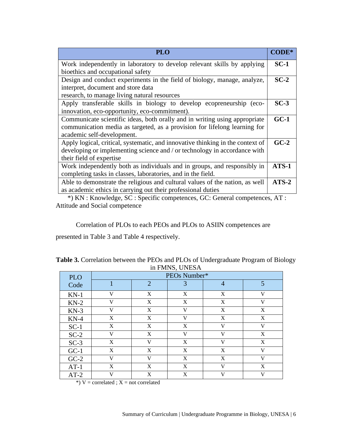| <b>PLO</b>                                                                     | CODE*   |
|--------------------------------------------------------------------------------|---------|
| Work independently in laboratory to develop relevant skills by applying        | $SC-1$  |
| bioethics and occupational safety                                              |         |
| Design and conduct experiments in the field of biology, manage, analyze,       | $SC-2$  |
| interpret, document and store data                                             |         |
| research, to manage living natural resources                                   |         |
| Apply transferable skills in biology to develop ecopreneurship (eco-           | $SC-3$  |
| innovation, eco-opportunity, eco-commitment).                                  |         |
| Communicate scientific ideas, both orally and in writing using appropriate     | $GC-1$  |
| communication media as targeted, as a provision for lifelong learning for      |         |
| academic self-development.                                                     |         |
| Apply logical, critical, systematic, and innovative thinking in the context of | $GC-2$  |
| developing or implementing science and / or technology in accordance with      |         |
| their field of expertise                                                       |         |
| Work independently both as individuals and in groups, and responsibly in       | $ATS-1$ |
| completing tasks in classes, laboratories, and in the field.                   |         |
| Able to demonstrate the religious and cultural values of the nation, as well   | $ATS-2$ |
| as academic ethics in carrying out their professional duties                   |         |

 \*) KN : Knowledge, SC : Specific competences, GC: General competences, AT : Attitude and Social competence

Correlation of PLOs to each PEOs and PLOs to ASIIN competences are

presented in Table 3 and Table 4 respectively.

|            |   |                | III FIVIINS, UINESA |                |              |
|------------|---|----------------|---------------------|----------------|--------------|
| <b>PLO</b> |   |                | PEOs Number*        |                |              |
| Code       |   | $\overline{2}$ | 3                   | $\overline{4}$ | 5            |
| $KN-1$     | V | X              | X                   | X              | $\mathbf{V}$ |
| $KN-2$     | V | X              | X                   | X              | V            |
| $KN-3$     | V | X              | V                   | X              | X            |
| $KN-4$     | X | X              | V                   | X              | X            |
| $SC-1$     | X | X              | X                   | $\mathbf{V}$   | $\mathbf{V}$ |
| $SC-2$     | V | $\mathbf X$    | V                   | $\mathbf{V}$   | X            |
| $SC-3$     | X | V              | X                   | V              | X            |
| $GC-1$     | X | X              | X                   | X              | $\mathbf{V}$ |
| $GC-2$     | V | V              | X                   | X              | V            |
| $AT-1$     | X | X              | X                   | V              | X            |
| $AT-2$     | V | X              | X                   | V              | V            |

**Table 3.** Correlation between the PEOs and PLOs of Undergraduate Program of Biology in FMNS, UNESA

\*)  $V =$  correlated ;  $X =$  not correlated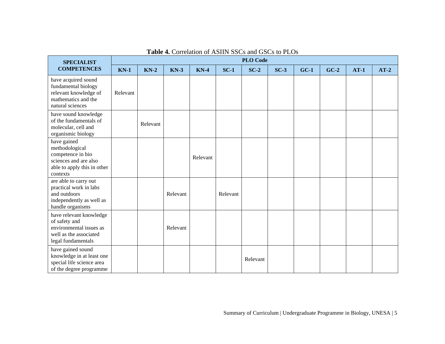| <b>SPECIALIST</b>                                                                                                      | <b>PLO Code</b> |          |          |          |          |          |        |        |        |        |        |  |  |
|------------------------------------------------------------------------------------------------------------------------|-----------------|----------|----------|----------|----------|----------|--------|--------|--------|--------|--------|--|--|
| <b>COMPETENCES</b>                                                                                                     | $KN-1$          | $KN-2$   | $KN-3$   | $KN-4$   | $SC-1$   | $SC-2$   | $SC-3$ | $GC-1$ | $GC-2$ | $AT-1$ | $AT-2$ |  |  |
| have acquired sound<br>fundamental biology<br>relevant knowledge of<br>mathematics and the<br>natural sciences         | Relevant        |          |          |          |          |          |        |        |        |        |        |  |  |
| have sound knowledge<br>of the fundamentals of<br>molecular, cell and<br>organismic biology                            |                 | Relevant |          |          |          |          |        |        |        |        |        |  |  |
| have gained<br>methodological<br>competence in bio<br>sciences and are also<br>able to apply this in other<br>contexts |                 |          |          | Relevant |          |          |        |        |        |        |        |  |  |
| are able to carry out<br>practical work in labs<br>and outdoors<br>independently as well as<br>handle organisms        |                 |          | Relevant |          | Relevant |          |        |        |        |        |        |  |  |
| have relevant knowledge<br>of safety and<br>environmental issues as<br>well as the associated<br>legal fundamentals    |                 |          | Relevant |          |          |          |        |        |        |        |        |  |  |
| have gained sound<br>knowledge in at least one<br>special life science area<br>of the degree programme                 |                 |          |          |          |          | Relevant |        |        |        |        |        |  |  |

# **Table 4.** Correlation of ASIIN SSCs and GSCs to PLOs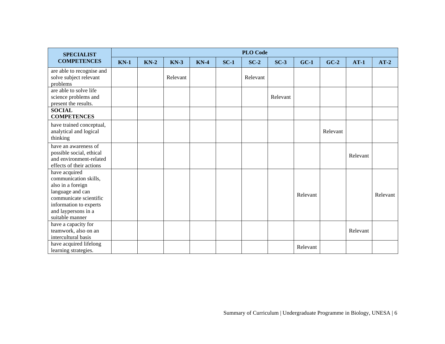| <b>SPECIALIST</b>                                                                                                                                                             | <b>PLO Code</b> |        |          |        |        |          |          |          |          |          |          |  |
|-------------------------------------------------------------------------------------------------------------------------------------------------------------------------------|-----------------|--------|----------|--------|--------|----------|----------|----------|----------|----------|----------|--|
| <b>COMPETENCES</b>                                                                                                                                                            | $KN-1$          | $KN-2$ | $KN-3$   | $KN-4$ | $SC-1$ | $SC-2$   | $SC-3$   | $GC-1$   | $GC-2$   | $AT-1$   | $AT-2$   |  |
| are able to recognise and<br>solve subject relevant<br>problems                                                                                                               |                 |        | Relevant |        |        | Relevant |          |          |          |          |          |  |
| are able to solve life<br>science problems and<br>present the results.                                                                                                        |                 |        |          |        |        |          | Relevant |          |          |          |          |  |
| <b>SOCIAL</b><br><b>COMPETENCES</b>                                                                                                                                           |                 |        |          |        |        |          |          |          |          |          |          |  |
| have trained conceptual,<br>analytical and logical<br>thinking                                                                                                                |                 |        |          |        |        |          |          |          | Relevant |          |          |  |
| have an awareness of<br>possible social, ethical<br>and environment-related<br>effects of their actions                                                                       |                 |        |          |        |        |          |          |          |          | Relevant |          |  |
| have acquired<br>communication skills,<br>also in a foreign<br>language and can<br>communicate scientific<br>information to experts<br>and laypersons in a<br>suitable manner |                 |        |          |        |        |          |          | Relevant |          |          | Relevant |  |
| have a capacity for<br>teamwork, also on an<br>intercultural basis                                                                                                            |                 |        |          |        |        |          |          |          |          | Relevant |          |  |
| have acquired lifelong<br>learning strategies.                                                                                                                                |                 |        |          |        |        |          |          | Relevant |          |          |          |  |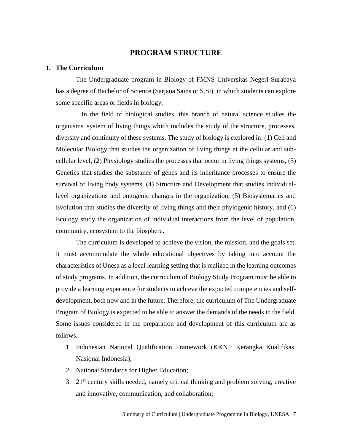# **PROGRAM STRUCTURE**

#### **1. The Curriculum**

The Undergraduate program in Biology of FMNS Universitas Negeri Surabaya has a degree of Bachelor of Science (Sarjana Sains or S.Si), in which students can explore some specific areas or fields in biology.

In the field of biological studies, this branch of natural science studies the organisms' system of living things which includes the study of the structure, processes, diversity and continuity of these systems. The study of biology is explored in: (1) Cell and Molecular Biology that studies the organization of living things at the cellular and subcellular level, (2) Physiology studies the processes that occur in living things systems, (3) Genetics that studies the substance of genes and its inheritance processes to ensure the survival of living body systems, (4) Structure and Development that studies individuallevel organizations and ontogenic changes in the organization, (5) Biosystematics and Evolution that studies the diversity of living things and their phylogenic history, and (6) Ecology study the organization of individual interactions from the level of population, community, ecosystem to the biosphere.

The curriculum is developed to achieve the vision, the mission, and the goals set. It must accommodate the whole educational objectives by taking into account the characteristics of Unesa as a local learning setting that is realized in the learning outcomes of study programs. In addition, the curriculum of Biology Study Program must be able to provide a learning experience for students to achieve the expected competencies and selfdevelopment, both now and in the future. Therefore, the curriculum of The Undergraduate Program of Biology is expected to be able to answer the demands of the needs in the field. Some issues considered in the preparation and development of this curriculum are as follows.

- 1. Indonesian National Qualification Framework (KKNI: Kerangka Kualifikasi Nasional Indonesia);
- 2. National Standards for Higher Education;
- 3.  $21<sup>st</sup>$  century skills needed, namely critical thinking and problem solving, creative and innovative, communication, and collaboration;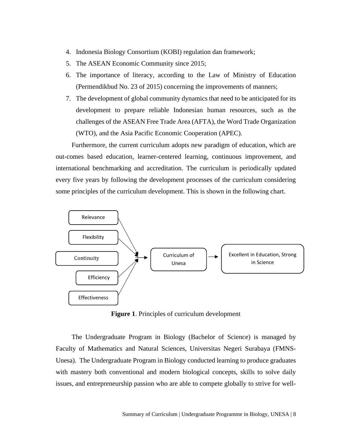- 4. Indonesia Biology Consortium (KOBI) regulation dan framework;
- 5. The ASEAN Economic Community since 2015;
- 6. The importance of literacy, according to the Law of Ministry of Education (Permendikbud No. 23 of 2015) concerning the improvements of manners;
- 7. The development of global community dynamics that need to be anticipated for its development to prepare reliable Indonesian human resources, such as the challenges of the ASEAN Free Trade Area (AFTA), the Word Trade Organization (WTO), and the Asia Pacific Economic Cooperation (APEC).

Furthermore, the current curriculum adopts new paradigm of education, which are out-comes based education, learner-centered learning, continuous improvement, and international benchmarking and accreditation. The curriculum is periodically updated every five years by following the development processes of the curriculum considering some principles of the curriculum development. This is shown in the following chart.



**Figure 1**. Principles of curriculum development

The Undergraduate Program in Biology (Bachelor of Science) is managed by Faculty of Mathematics and Natural Sciences, Universitas Negeri Surabaya (FMNS-Unesa). The Undergraduate Program in Biology conducted learning to produce graduates with mastery both conventional and modern biological concepts, skills to solve daily issues, and entrepreneurship passion who are able to compete globally to strive for well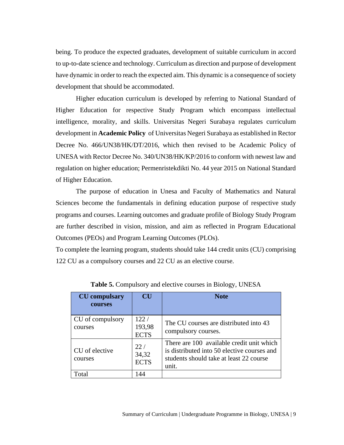being. To produce the expected graduates, development of suitable curriculum in accord to up-to-date science and technology. Curriculum as direction and purpose of development have dynamic in order to reach the expected aim. This dynamic is a consequence of society development that should be accommodated.

Higher education curriculum is developed by referring to National Standard of Higher Education for respective Study Program which encompass intellectual intelligence, morality, and skills. Universitas Negeri Surabaya regulates curriculum development in **Academic Policy** of Universitas Negeri Surabaya as established in Rector Decree No. 466/UN38/HK/DT/2016, which then revised to be Academic Policy of UNESA with Rector Decree No. 340/UN38/HK/KP/2016 to conform with newest law and regulation on higher education; Permenristekdikti No. 44 year 2015 on National Standard of Higher Education.

The purpose of education in Unesa and Faculty of Mathematics and Natural Sciences become the fundamentals in defining education purpose of respective study programs and courses. Learning outcomes and graduate profile of Biology Study Program are further described in vision, mission, and aim as reflected in Program Educational Outcomes (PEOs) and Program Learning Outcomes (PLOs).

To complete the learning program, students should take 144 credit units (CU) comprising 122 CU as a compulsory courses and 22 CU as an elective course.

| <b>CU</b> compulsary<br><b>courses</b> | CU                             | <b>Note</b>                                                                                                                                  |
|----------------------------------------|--------------------------------|----------------------------------------------------------------------------------------------------------------------------------------------|
| CU of compulsory<br>courses            | 122 /<br>193,98<br><b>ECTS</b> | The CU courses are distributed into 43<br>compulsory courses.                                                                                |
| CU of elective<br>courses              | 22/<br>34,32<br><b>ECTS</b>    | There are 100 available credit unit which<br>is distributed into 50 elective courses and<br>students should take at least 22 course<br>unit. |
| Total                                  | 44                             |                                                                                                                                              |

**Table 5.** Compulsory and elective courses in Biology, UNESA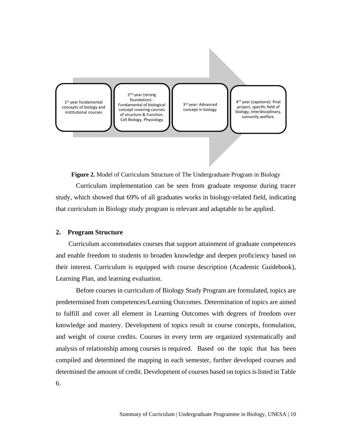

**Figure 2.** Model of Curriculum Structure of The Undergraduate Program in Biology

Curriculum implementation can be seen from graduate response during tracer study, which showed that 69% of all graduates works in biology-related field, indicating that curriculum in Biology study program is relevant and adaptable to be applied.

#### **2. Program Structure**

Curriculum accommodates courses that support attainment of graduate competences and enable freedom to students to broaden knowledge and deepen proficiency based on their interest. Curriculum is equipped with course description (Academic Guidebook), Learning Plan, and learning evaluation.

Before courses in curriculum of Biology Study Program are formulated, topics are predetermined from competences/Learning Outcomes. Determination of topics are aimed to fulfill and cover all element in Learning Outcomes with degrees of freedom over knowledge and mastery. Development of topics result in course concepts, formulation, and weight of course credits. Courses in every term are organized systematically and analysis of relationship among courses is required. Based on the topic that has been compiled and determined the mapping in each semester, further developed courses and determined the amount of credit. Development of courses based on topics is listed in Table 6.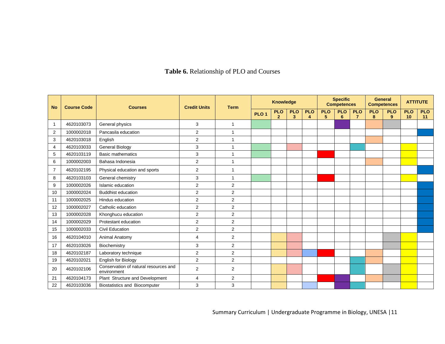# **Table 6.** Relationship of PLO and Courses

| <b>No</b>      | <b>Course Code</b> | <b>Courses</b>                                       | <b>Credit Units</b> | <b>Specific</b><br><b>Knowledge</b><br><b>Competences</b><br><b>Term</b> |                  |                              |                              |                 |                 |                 |                              | <b>General</b><br><b>Competences</b> |                              | <b>ATTITUTE</b>  |                  |
|----------------|--------------------|------------------------------------------------------|---------------------|--------------------------------------------------------------------------|------------------|------------------------------|------------------------------|-----------------|-----------------|-----------------|------------------------------|--------------------------------------|------------------------------|------------------|------------------|
|                |                    |                                                      |                     |                                                                          | PLO <sub>1</sub> | <b>PLO</b><br>$\overline{2}$ | <b>PLO</b><br>$\overline{3}$ | <b>PLO</b><br>4 | <b>PLO</b><br>5 | <b>PLO</b><br>6 | <b>PLO</b><br>$\overline{7}$ | <b>PLO</b><br>8                      | <b>PLO</b><br>9 <sup>°</sup> | <b>PLO</b><br>10 | <b>PLO</b><br>11 |
|                | 4620103073         | General physics                                      | 3                   | 1                                                                        |                  |                              |                              |                 |                 |                 |                              |                                      |                              |                  |                  |
| $\overline{2}$ | 1000002018         | Pancasila education                                  | 2                   | 1                                                                        |                  |                              |                              |                 |                 |                 |                              |                                      |                              |                  |                  |
| 3              | 4620103018         | English                                              | $\overline{2}$      | 1                                                                        |                  |                              |                              |                 |                 |                 |                              |                                      |                              |                  |                  |
| 4              | 4620103033         | <b>General Biology</b>                               | 3                   | 1                                                                        |                  |                              |                              |                 |                 |                 |                              |                                      |                              |                  |                  |
| 5              | 4620103119         | <b>Basic mathematics</b>                             | 3                   | 1                                                                        |                  |                              |                              |                 |                 |                 |                              |                                      |                              |                  |                  |
| 6              | 1000002003         | Bahasa Indonesia                                     | 2                   | 1                                                                        |                  |                              |                              |                 |                 |                 |                              |                                      |                              |                  |                  |
| $\overline{7}$ | 4620102195         | Physical education and sports                        | $\overline{2}$      | 1                                                                        |                  |                              |                              |                 |                 |                 |                              |                                      |                              |                  |                  |
| 8              | 4620103103         | General chemistry                                    | 3                   | $\mathbf{1}$                                                             |                  |                              |                              |                 |                 |                 |                              |                                      |                              |                  |                  |
| 9              | 1000002026         | Islamic education                                    | $\overline{2}$      | $\overline{2}$                                                           |                  |                              |                              |                 |                 |                 |                              |                                      |                              |                  |                  |
| 10             | 1000002024         | <b>Buddhist education</b>                            | 2                   | $\overline{2}$                                                           |                  |                              |                              |                 |                 |                 |                              |                                      |                              |                  |                  |
| 11             | 1000002025         | Hindus education                                     | $\overline{2}$      | 2                                                                        |                  |                              |                              |                 |                 |                 |                              |                                      |                              |                  |                  |
| 12             | 1000002027         | Catholic education                                   | $\overline{2}$      | $\overline{2}$                                                           |                  |                              |                              |                 |                 |                 |                              |                                      |                              |                  |                  |
| 13             | 1000002028         | Khonghucu education                                  | $\overline{2}$      | $\overline{2}$                                                           |                  |                              |                              |                 |                 |                 |                              |                                      |                              |                  |                  |
| 14             | 1000002029         | Protestant education                                 | $\overline{2}$      | $\overline{2}$                                                           |                  |                              |                              |                 |                 |                 |                              |                                      |                              |                  |                  |
| 15             | 1000002033         | <b>Civil Education</b>                               | 2                   | $\overline{2}$                                                           |                  |                              |                              |                 |                 |                 |                              |                                      |                              |                  |                  |
| 16             | 4620104010         | Animal Anatomy                                       | 4                   | $\overline{2}$                                                           |                  |                              |                              |                 |                 |                 |                              |                                      |                              |                  |                  |
| 17             | 4620103026         | Biochemistry                                         | 3                   | $\overline{2}$                                                           |                  |                              |                              |                 |                 |                 |                              |                                      |                              |                  |                  |
| 18             | 4620102187         | Laboratory technique                                 | 2                   | $\overline{2}$                                                           |                  |                              |                              |                 |                 |                 |                              |                                      |                              |                  |                  |
| 19             | 4620102021         | English for Biology                                  | $\overline{2}$      | $\overline{2}$                                                           |                  |                              |                              |                 |                 |                 |                              |                                      |                              |                  |                  |
| 20             | 4620102106         | Conservation of natural resources and<br>environment | $\overline{2}$      | 2                                                                        |                  |                              |                              |                 |                 |                 |                              |                                      |                              |                  |                  |
| 21             | 4620104173         | Plant Structure and Development                      | $\overline{4}$      | $\overline{2}$                                                           |                  |                              |                              |                 |                 |                 |                              |                                      |                              |                  |                  |
| 22             | 4620103036         | <b>Biostatistics and Biocomputer</b>                 | 3                   | 3                                                                        |                  |                              |                              |                 |                 |                 |                              |                                      |                              |                  |                  |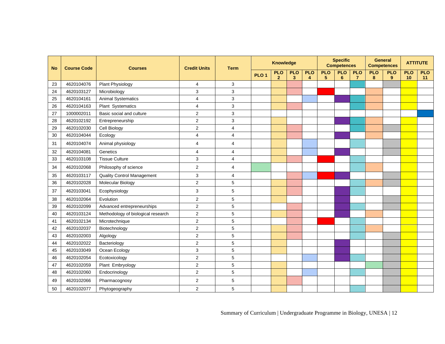| <b>No</b> | <b>Course Code</b> | <b>Courses</b>                     | <b>Credit Units</b> | <b>Term</b>    | <b>Knowledge</b> |                              |                            |                 |                 |                 |                              |                 | <b>Specific</b><br><b>Competences</b> |                  | <b>General</b><br><b>Competences</b> |  | <b>ATTITUTE</b> |  |
|-----------|--------------------|------------------------------------|---------------------|----------------|------------------|------------------------------|----------------------------|-----------------|-----------------|-----------------|------------------------------|-----------------|---------------------------------------|------------------|--------------------------------------|--|-----------------|--|
|           |                    |                                    |                     |                | PLO <sub>1</sub> | <b>PLO</b><br>$\overline{2}$ | <b>PLO</b><br>$\mathbf{3}$ | <b>PLO</b><br>4 | <b>PLO</b><br>5 | <b>PLO</b><br>6 | <b>PLO</b><br>$\overline{7}$ | <b>PLO</b><br>8 | <b>PLO</b><br>9                       | <b>PLO</b><br>10 | <b>PLO</b><br>11                     |  |                 |  |
| 23        | 4620104076         | Plant Physiology                   | 4                   | 3              |                  |                              |                            |                 |                 |                 |                              |                 |                                       |                  |                                      |  |                 |  |
| 24        | 4620103127         | Microbiology                       | 3                   | 3              |                  |                              |                            |                 |                 |                 |                              |                 |                                       |                  |                                      |  |                 |  |
| 25        | 4620104161         | <b>Animal Systematics</b>          | $\overline{4}$      | 3              |                  |                              |                            |                 |                 |                 |                              |                 |                                       |                  |                                      |  |                 |  |
| 26        | 4620104163         | Plant Systematics                  | $\overline{4}$      | 3              |                  |                              |                            |                 |                 |                 |                              |                 |                                       |                  |                                      |  |                 |  |
| 27        | 1000002011         | Basic social and culture           | $\overline{2}$      | 3              |                  |                              |                            |                 |                 |                 |                              |                 |                                       |                  |                                      |  |                 |  |
| 28        | 4620102192         | Entrepreneurship                   | $\overline{c}$      | 3              |                  |                              |                            |                 |                 |                 |                              |                 |                                       |                  |                                      |  |                 |  |
| 29        | 4620102030         | Cell Biology                       | $\overline{2}$      | $\overline{4}$ |                  |                              |                            |                 |                 |                 |                              |                 |                                       |                  |                                      |  |                 |  |
| 30        | 4620104044         | Ecology                            | $\overline{4}$      | 4              |                  |                              |                            |                 |                 |                 |                              |                 |                                       |                  |                                      |  |                 |  |
| 31        | 4620104074         | Animal physiology                  | 4                   | 4              |                  |                              |                            |                 |                 |                 |                              |                 |                                       |                  |                                      |  |                 |  |
| 32        | 4620104081         | Genetics                           | $\overline{4}$      | 4              |                  |                              |                            |                 |                 |                 |                              |                 |                                       |                  |                                      |  |                 |  |
| 33        | 4620103108         | <b>Tissue Culture</b>              | 3                   | 4              |                  |                              |                            |                 |                 |                 |                              |                 |                                       |                  |                                      |  |                 |  |
| 34        | 4620102068         | Philosophy of science              | $\overline{2}$      | 4              |                  |                              |                            |                 |                 |                 |                              |                 |                                       |                  |                                      |  |                 |  |
| 35        | 4620103117         | <b>Quality Control Management</b>  | 3                   | 4              |                  |                              |                            |                 |                 |                 |                              |                 |                                       |                  |                                      |  |                 |  |
| 36        | 4620102028         | Molecular Biology                  | $\overline{c}$      | 5              |                  |                              |                            |                 |                 |                 |                              |                 |                                       |                  |                                      |  |                 |  |
| 37        | 4620103041         | Ecophysiology                      | 3                   | 5              |                  |                              |                            |                 |                 |                 |                              |                 |                                       |                  |                                      |  |                 |  |
| 38        | 4620102064         | Evolution                          | 2                   | 5              |                  |                              |                            |                 |                 |                 |                              |                 |                                       |                  |                                      |  |                 |  |
| 39        | 4620102099         | Advanced entrepreneurships         | 2                   | 5              |                  |                              |                            |                 |                 |                 |                              |                 |                                       |                  |                                      |  |                 |  |
| 40        | 4620103124         | Methodology of biological research | $\overline{2}$      | 5              |                  |                              |                            |                 |                 |                 |                              |                 |                                       |                  |                                      |  |                 |  |
| 41        | 4620102134         | Microtechnique                     | $\overline{2}$      | 5              |                  |                              |                            |                 |                 |                 |                              |                 |                                       |                  |                                      |  |                 |  |
| 42        | 4620102037         | Biotechnology                      | $\overline{2}$      | 5              |                  |                              |                            |                 |                 |                 |                              |                 |                                       |                  |                                      |  |                 |  |
| 43        | 4620102003         | Algology                           | $\overline{c}$      | 5              |                  |                              |                            |                 |                 |                 |                              |                 |                                       |                  |                                      |  |                 |  |
| 44        | 4620102022         | Bacteriology                       | $\overline{c}$      | 5              |                  |                              |                            |                 |                 |                 |                              |                 |                                       |                  |                                      |  |                 |  |
| 45        | 4620103049         | Ocean Ecology                      | 3                   | 5              |                  |                              |                            |                 |                 |                 |                              |                 |                                       |                  |                                      |  |                 |  |
| 46        | 4620102054         | Ecotoxicology                      | $\overline{2}$      | 5              |                  |                              |                            |                 |                 |                 |                              |                 |                                       |                  |                                      |  |                 |  |
| 47        | 4620102059         | Plant Embryology                   | $\overline{2}$      | 5              |                  |                              |                            |                 |                 |                 |                              |                 |                                       |                  |                                      |  |                 |  |
| 48        | 4620102060         | Endocrinology                      | $\overline{2}$      | 5              |                  |                              |                            |                 |                 |                 |                              |                 |                                       |                  |                                      |  |                 |  |
| 49        | 4620102066         | Pharmacognosy                      | $\overline{2}$      | 5              |                  |                              |                            |                 |                 |                 |                              |                 |                                       |                  |                                      |  |                 |  |
| 50        | 4620102077         | Phytogeography                     | $\overline{2}$      | 5              |                  |                              |                            |                 |                 |                 |                              |                 |                                       |                  |                                      |  |                 |  |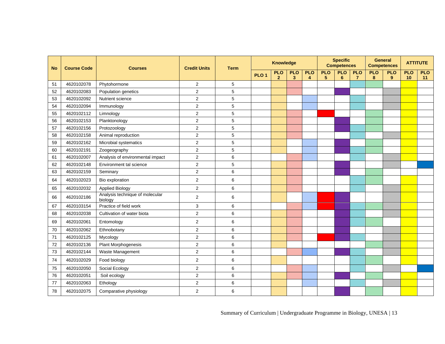| <b>No</b> | <b>Course Code</b> | <b>Courses</b>                             | <b>Credit Units</b> | <b>Specific</b><br><b>Knowledge</b><br><b>Competences</b> |                  |                            |                            |                 | <b>General</b><br><b>Competences</b><br><b>Term</b> |                              |                 |                 |                 |                  | <b>ATTITUTE</b>  |  |
|-----------|--------------------|--------------------------------------------|---------------------|-----------------------------------------------------------|------------------|----------------------------|----------------------------|-----------------|-----------------------------------------------------|------------------------------|-----------------|-----------------|-----------------|------------------|------------------|--|
|           |                    |                                            |                     |                                                           | PLO <sub>1</sub> | <b>PLO</b><br>$\mathbf{2}$ | <b>PLO</b><br>$\mathbf{3}$ | <b>PLO</b><br>4 | <b>PLO</b><br>5                                     | <b>PLO</b><br>$6\phantom{1}$ | <b>PLO</b><br>7 | <b>PLO</b><br>8 | <b>PLO</b><br>9 | <b>PLO</b><br>10 | <b>PLO</b><br>11 |  |
| 51        | 4620102078         | Phytohormone                               | $\overline{2}$      | 5                                                         |                  |                            |                            |                 |                                                     |                              |                 |                 |                 |                  |                  |  |
| 52        | 4620102083         | Population genetics                        | $\overline{2}$      | 5                                                         |                  |                            |                            |                 |                                                     |                              |                 |                 |                 |                  |                  |  |
| 53        | 4620102092         | Nutrient science                           | $\overline{2}$      | 5                                                         |                  |                            |                            |                 |                                                     |                              |                 |                 |                 |                  |                  |  |
| 54        | 4620102094         | Immunology                                 | $\overline{2}$      | 5                                                         |                  |                            |                            |                 |                                                     |                              |                 |                 |                 |                  |                  |  |
| 55        | 4620102112         | Limnology                                  | $\overline{2}$      | 5                                                         |                  |                            |                            |                 |                                                     |                              |                 |                 |                 |                  |                  |  |
| 56        | 4620102153         | Planktonology                              | $\overline{2}$      | 5                                                         |                  |                            |                            |                 |                                                     |                              |                 |                 |                 |                  |                  |  |
| 57        | 4620102156         | Protozoology                               | $\overline{c}$      | 5                                                         |                  |                            |                            |                 |                                                     |                              |                 |                 |                 |                  |                  |  |
| 58        | 4620102158         | Animal reproduction                        | $\overline{2}$      | 5                                                         |                  |                            |                            |                 |                                                     |                              |                 |                 |                 |                  |                  |  |
| 59        | 4620102162         | Microbial systematics                      | $\overline{c}$      | 5                                                         |                  |                            |                            |                 |                                                     |                              |                 |                 |                 |                  |                  |  |
| 60        | 4620102191         | Zoogeography                               | $\overline{c}$      | 5                                                         |                  |                            |                            |                 |                                                     |                              |                 |                 |                 |                  |                  |  |
| 61        | 4620102007         | Analysis of environmental impact           | $\overline{2}$      | 6                                                         |                  |                            |                            |                 |                                                     |                              |                 |                 |                 |                  |                  |  |
| 62        | 4620102148         | Environment tal science                    | $\overline{2}$      | 5                                                         |                  |                            |                            |                 |                                                     |                              |                 |                 |                 |                  |                  |  |
| 63        | 4620102159         | Seminary                                   | $\overline{2}$      | 6                                                         |                  |                            |                            |                 |                                                     |                              |                 |                 |                 |                  |                  |  |
| 64        | 4620102023         | Bio exploration                            | $\overline{2}$      | 6                                                         |                  |                            |                            |                 |                                                     |                              |                 |                 |                 |                  |                  |  |
| 65        | 4620102032         | <b>Applied Biology</b>                     | $\overline{2}$      | 6                                                         |                  |                            |                            |                 |                                                     |                              |                 |                 |                 |                  |                  |  |
| 66        | 4620102186         | Analysis technique of molecular<br>biology | $\overline{2}$      | 6                                                         |                  |                            |                            |                 |                                                     |                              |                 |                 |                 |                  |                  |  |
| 67        | 4620103154         | Practice of field work                     | 3                   | 6                                                         |                  |                            |                            |                 |                                                     |                              |                 |                 |                 |                  |                  |  |
| 68        | 4620102038         | Cultivation of water biota                 | $\overline{2}$      | 6                                                         |                  |                            |                            |                 |                                                     |                              |                 |                 |                 |                  |                  |  |
| 69        | 4620102061         | Entomology                                 | 2                   | 6                                                         |                  |                            |                            |                 |                                                     |                              |                 |                 |                 |                  |                  |  |
| 70        | 4620102062         | Ethnobotany                                | $\overline{2}$      | 6                                                         |                  |                            |                            |                 |                                                     |                              |                 |                 |                 |                  |                  |  |
| 71        | 4620102125         | Mycology                                   | $\overline{2}$      | 6                                                         |                  |                            |                            |                 |                                                     |                              |                 |                 |                 |                  |                  |  |
| 72        | 4620102136         | Plant Morphogenesis                        | $\overline{c}$      | 6                                                         |                  |                            |                            |                 |                                                     |                              |                 |                 |                 |                  |                  |  |
| 73        | 4620102144         | Waste Management                           | $\overline{c}$      | 6                                                         |                  |                            |                            |                 |                                                     |                              |                 |                 |                 |                  |                  |  |
| 74        | 4620102029         | Food biology                               | $\overline{2}$      | 6                                                         |                  |                            |                            |                 |                                                     |                              |                 |                 |                 |                  |                  |  |
| 75        | 4620102050         | Social Ecology                             | $\overline{2}$      | 6                                                         |                  |                            |                            |                 |                                                     |                              |                 |                 |                 |                  |                  |  |
| 76        | 4620102051         | Soil ecology                               | $\overline{2}$      | 6                                                         |                  |                            |                            |                 |                                                     |                              |                 |                 |                 |                  |                  |  |
| 77        | 4620102063         | Ethology                                   | $\overline{2}$      | 6                                                         |                  |                            |                            |                 |                                                     |                              |                 |                 |                 |                  |                  |  |
| 78        | 4620102075         | Comparative physiology                     | $\overline{2}$      | 6                                                         |                  |                            |                            |                 |                                                     |                              |                 |                 |                 |                  |                  |  |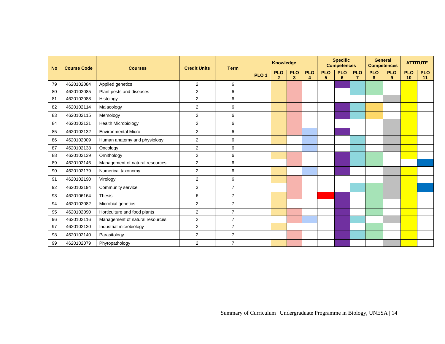| <b>No</b> | <b>Course Code</b> | <b>Courses</b>                  | <b>Credit Units</b> | <b>Specific</b><br><b>General</b><br><b>Knowledge</b><br><b>Competences</b><br><b>Competences</b><br><b>Term</b> |                  |                              |                              |                                    |                 |                 |                              |                 |                 |                  |                  | <b>ATTITUTE</b> |
|-----------|--------------------|---------------------------------|---------------------|------------------------------------------------------------------------------------------------------------------|------------------|------------------------------|------------------------------|------------------------------------|-----------------|-----------------|------------------------------|-----------------|-----------------|------------------|------------------|-----------------|
|           |                    |                                 |                     |                                                                                                                  | PLO <sub>1</sub> | <b>PLO</b><br>$\overline{2}$ | <b>PLO</b><br>$\overline{3}$ | <b>PLO</b><br>$\blacktriangleleft$ | <b>PLO</b><br>5 | <b>PLO</b><br>6 | <b>PLO</b><br>$\overline{7}$ | <b>PLO</b><br>8 | <b>PLO</b><br>9 | <b>PLO</b><br>10 | <b>PLO</b><br>11 |                 |
| 79        | 4620102084         | Applied genetics                | $\overline{2}$      | 6                                                                                                                |                  |                              |                              |                                    |                 |                 |                              |                 |                 |                  |                  |                 |
| 80        | 4620102085         | Plant pests and diseases        | $\mathbf{2}$        | 6                                                                                                                |                  |                              |                              |                                    |                 |                 |                              |                 |                 |                  |                  |                 |
| 81        | 4620102088         | Histology                       | $\overline{2}$      | 6                                                                                                                |                  |                              |                              |                                    |                 |                 |                              |                 |                 |                  |                  |                 |
| 82        | 4620102114         | Malacology                      | $\mathbf{2}$        | 6                                                                                                                |                  |                              |                              |                                    |                 |                 |                              |                 |                 |                  |                  |                 |
| 83        | 4620102115         | Memology                        | $\overline{2}$      | 6                                                                                                                |                  |                              |                              |                                    |                 |                 |                              |                 |                 |                  |                  |                 |
| 84        | 4620102131         | <b>Health Microbiology</b>      | 2                   | 6                                                                                                                |                  |                              |                              |                                    |                 |                 |                              |                 |                 |                  |                  |                 |
| 85        | 4620102132         | <b>Environmental Micro</b>      | 2                   | 6                                                                                                                |                  |                              |                              |                                    |                 |                 |                              |                 |                 |                  |                  |                 |
| 86        | 4620102009         | Human anatomy and physiology    | 2                   | 6                                                                                                                |                  |                              |                              |                                    |                 |                 |                              |                 |                 |                  |                  |                 |
| 87        | 4620102138         | Oncology                        | $\overline{2}$      | 6                                                                                                                |                  |                              |                              |                                    |                 |                 |                              |                 |                 |                  |                  |                 |
| 88        | 4620102139         | Ornithology                     | 2                   | 6                                                                                                                |                  |                              |                              |                                    |                 |                 |                              |                 |                 |                  |                  |                 |
| 89        | 4620102146         | Management of natural resources | $\overline{2}$      | 6                                                                                                                |                  |                              |                              |                                    |                 |                 |                              |                 |                 |                  |                  |                 |
| 90        | 4620102179         | Numerical taxonomy              | 2                   | 6                                                                                                                |                  |                              |                              |                                    |                 |                 |                              |                 |                 |                  |                  |                 |
| 91        | 4620102190         | Virology                        | 2                   | 6                                                                                                                |                  |                              |                              |                                    |                 |                 |                              |                 |                 |                  |                  |                 |
| 92        | 4620103194         | Community service               | 3                   | $\overline{7}$                                                                                                   |                  |                              |                              |                                    |                 |                 |                              |                 |                 |                  |                  |                 |
| 93        | 4620106164         | Thesis                          | 6                   | $\overline{7}$                                                                                                   |                  |                              |                              |                                    |                 |                 |                              |                 |                 |                  |                  |                 |
| 94        | 4620102082         | Microbial genetics              | $\overline{2}$      | $\overline{7}$                                                                                                   |                  |                              |                              |                                    |                 |                 |                              |                 |                 |                  |                  |                 |
| 95        | 4620102090         | Horticulture and food plants    | 2                   | $\overline{7}$                                                                                                   |                  |                              |                              |                                    |                 |                 |                              |                 |                 |                  |                  |                 |
| 96        | 4620102116         | Management of natural resources | 2                   | $\overline{7}$                                                                                                   |                  |                              |                              |                                    |                 |                 |                              |                 |                 |                  |                  |                 |
| 97        | 4620102130         | Industrial microbiology         | $\overline{2}$      | $\overline{7}$                                                                                                   |                  |                              |                              |                                    |                 |                 |                              |                 |                 |                  |                  |                 |
| 98        | 4620102140         | Parasitology                    | $\mathbf{2}$        | $\overline{7}$                                                                                                   |                  |                              |                              |                                    |                 |                 |                              |                 |                 |                  |                  |                 |
| 99        | 4620102079         | Phytopathology                  | 2                   | $\overline{7}$                                                                                                   |                  |                              |                              |                                    |                 |                 |                              |                 |                 |                  |                  |                 |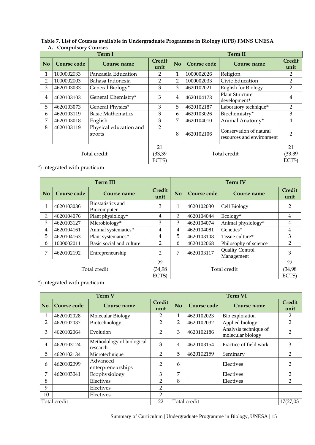|                |             | <b>Term I</b>                    |                       | <b>Term II</b>          |                                     |                                                      |                       |  |  |  |  |  |
|----------------|-------------|----------------------------------|-----------------------|-------------------------|-------------------------------------|------------------------------------------------------|-----------------------|--|--|--|--|--|
| N <sub>o</sub> | Course code | Course name                      | <b>Credit</b><br>unit | N <sub>o</sub>          | Course code                         | Course name                                          | <b>Credit</b><br>unit |  |  |  |  |  |
| 1              | 1000002033  | Pancasila Education              | 2                     | 1                       | 1000002026                          | Religion                                             | 2                     |  |  |  |  |  |
| $\overline{2}$ | 1000002003  | Bahasa Indonesia                 | 2                     | $\overline{2}$          | 1000002033                          | Civic Education                                      | $\overline{2}$        |  |  |  |  |  |
| 3              | 4620103033  | General Biology*                 | 3                     | 3                       | 4620102021                          | <b>English for Biology</b>                           | $\overline{2}$        |  |  |  |  |  |
| 4              | 4620103103  | General Chemistry*               | 3                     | $\overline{4}$          | 4620104173                          | <b>Plant Structure</b><br>development*               | 4                     |  |  |  |  |  |
| 5              | 4620103073  | General Physics*                 | 3                     | 5                       | 4620102187<br>Laboratory technique* |                                                      | $\overline{2}$        |  |  |  |  |  |
| 6              | 4620103119  | <b>Basic Mathematics</b>         | 3                     | 6                       | 4620103026                          | Biochemistry*                                        | 3                     |  |  |  |  |  |
| 7              | 4620103018  | English                          | 3                     | 7                       | 4620104010                          | Animal Anatomy*                                      | 4                     |  |  |  |  |  |
| 8              | 4620103119  | Physical education and<br>sports | $\overline{2}$        | 8                       | 4620102106                          | Conservation of natural<br>resources and environment | $\mathfrak{p}$        |  |  |  |  |  |
|                |             |                                  | 21                    |                         |                                     |                                                      | 21                    |  |  |  |  |  |
|                |             | Total credit                     | (33, 39)              | Total credit<br>(33.39) |                                     |                                                      |                       |  |  |  |  |  |
|                |             |                                  | ECTS)                 |                         |                                     |                                                      | ECTS)                 |  |  |  |  |  |

### **Table 7. List of Courses available in Undergraduate Programme in Biology (UPB) FMNS UNESA A. Compulsory Courses**

\*) integrated with practicum

| <b>Term III</b> |             |                                  |                | <b>Term IV</b> |             |                                      |                |
|-----------------|-------------|----------------------------------|----------------|----------------|-------------|--------------------------------------|----------------|
| <b>No</b>       | Course code | Course name                      | Credit<br>unit | N <sub>o</sub> | Course code | Course name                          | Credit<br>unit |
|                 | 4620103036  | Biostatistics and<br>Biocomputer | 3              | $\mathbf{1}$   | 4620102030  | Cell Biology                         | $\overline{2}$ |
| $\overline{2}$  | 4620104076  | Plant physiology*                | 4              | 2              | 4620104044  | $Ecology*$                           | 4              |
| 3               | 4620103127  | Microbiology*                    | 3              | 3              | 4620104074  | Animal physiology*                   | 4              |
| 4               | 4620104161  | Animal systematics*              | 4              | 4              | 4620104081  | Genetics*                            | 4              |
| 5               | 4620104163  | Plant systematics*               | 4              | 5              | 4620103108  | Tissue culture*                      | 3              |
| 6               | 1000002011  | Basic social and culture         | $\mathfrak{D}$ | 6              | 4620102068  | Philosophy of science                | $\mathfrak{D}$ |
| 7               | 4620102192  | Entrepreneurship                 | $\overline{2}$ | 7              | 4620103117  | <b>Quality Control</b><br>Management | 3              |
| Total credit    |             |                                  | 22             | Total credit   |             |                                      | 22             |
|                 |             |                                  | (34,98         |                |             |                                      | 34,98          |
|                 |             | ECTS)                            | ECTS)          |                |             |                                      |                |

\*) integrated with practicum

| <b>Term V</b>  |             |                                       |                       | <b>Term VI</b> |             |                                            |                       |
|----------------|-------------|---------------------------------------|-----------------------|----------------|-------------|--------------------------------------------|-----------------------|
| N <sub>0</sub> | Course code | Course name                           | <b>Credit</b><br>unit | N <sub>o</sub> | Course code | Course name                                | <b>Credit</b><br>unit |
| 1              | 4620102028  | Molecular Biology                     | 2                     | 1              | 4620102023  | Bio exploration                            | 2                     |
| 2              | 4620102037  | Biotechnology                         | 2                     | 2              | 4620102032  | Applied biology                            | 2                     |
| 3              | 4620102064  | Evolution                             | $\overline{2}$        | 3              | 4620102186  | Analysis technique of<br>molecular biology | $\mathfrak{D}$        |
| 4              | 4620103124  | Methodology of biological<br>research | 3                     | 4              | 4620103154  | Practice of field work                     | 3                     |
| 5              | 4620102134  | Microtechnique                        | $\overline{2}$        | 5              | 4620102159  | Seminary                                   | 2                     |
| 6              | 4620102099  | Advanced<br>enterpreneurships         | 2                     | 6              |             | Electives                                  | $\overline{2}$        |
| 7              | 4620103041  | Ecophysiology                         | 3                     | 7              |             | Electives                                  | 2                     |
| 8              |             | Electives                             | $\overline{2}$        | 8              |             | Electives                                  | 2                     |
| 9              |             | Electives                             | 2                     |                |             |                                            |                       |
| 10             |             | Electives                             | $\overline{2}$        |                |             |                                            |                       |
| Total credit   |             |                                       | 22                    | Total credit   |             | 17(27,03                                   |                       |